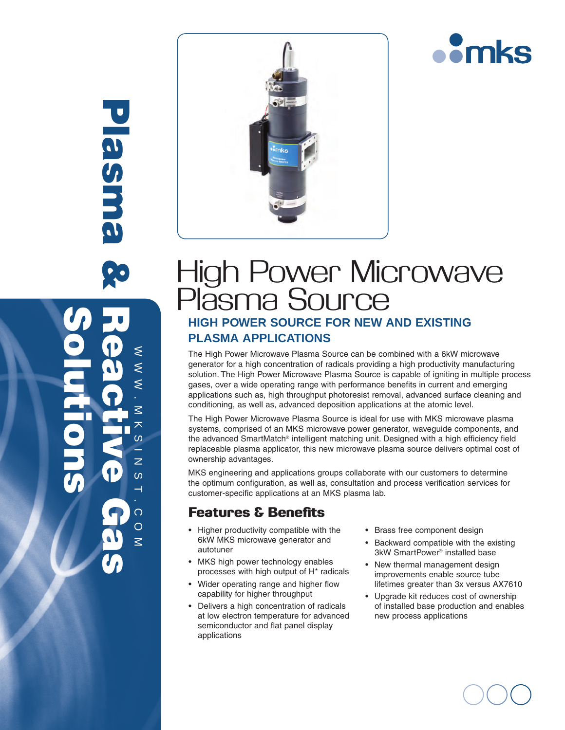

Plasma & Reactive Gas Plasm Solutionswww.mksinst.com  $\leq$  $\leq$  $\overline{\leq}$ 大  $\omega$  $\overline{z}$  $\omega$  $\overline{\phantom{0}}$  $\Omega$  $\overline{O}$  $\leq$ 



# High Power Microwave Plasma Source **HIGH POWER SOURCE FOR NEW AND EXISTING PLASMA APPLICATIONS**

The High Power Microwave Plasma Source can be combined with a 6kW microwave generator for a high concentration of radicals providing a high productivity manufacturing solution. The High Power Microwave Plasma Source is capable of igniting in multiple process gases, over a wide operating range with performance benefits in current and emerging applications such as, high throughput photoresist removal, advanced surface cleaning and conditioning, as well as, advanced deposition applications at the atomic level.

The High Power Microwave Plasma Source is ideal for use with MKS microwave plasma systems, comprised of an MKS microwave power generator, waveguide components, and the advanced SmartMatch® intelligent matching unit. Designed with a high efficiency field replaceable plasma applicator, this new microwave plasma source delivers optimal cost of ownership advantages.

MKS engineering and applications groups collaborate with our customers to determine the optimum configuration, as well as, consultation and process verification services for customer-specific applications at an MKS plasma lab.

## Features & Benefits

- Higher productivity compatible with the 6kW MKS microwave generator and autotuner
- MKS high power technology enables processes with high output of H\* radicals
- Wider operating range and higher flow capability for higher throughput
- • Delivers a high concentration of radicals at low electron temperature for advanced semiconductor and flat panel display applications
- • Brass free component design
- • Backward compatible with the existing 3kW SmartPower® installed base
- New thermal management design improvements enable source tube lifetimes greater than 3x versus AX7610
- Upgrade kit reduces cost of ownership of installed base production and enables new process applications